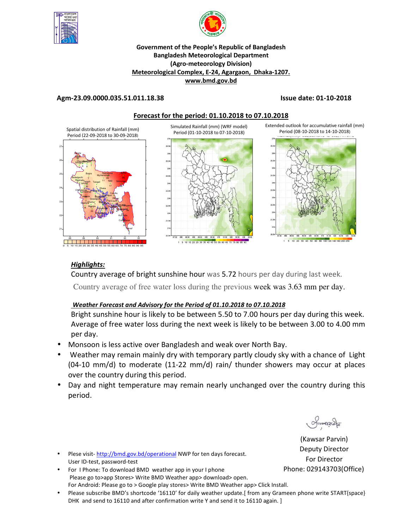



## **Government of the People's Republic of Bangladesh Bangladesh Meteorological Department (Agro-meteorology Division) Meteorological Complex, E-24, Agargaon, Dhaka-1207. www.bmd.gov.bd**

## **Agm-23.09.0000.035.51.011.18.38 Issue date: 01-10-2018**



## *Highlights:*

Country average of bright sunshine hour was 5.72 hours per day during last week.

Country average of free water loss during the previous week was 3.63 mm per day.

## *Weather Forecast and Advisory for the Period of 01.10.2018 to 07.10.2018*

Bright sunshine hour is likely to be between 5.50 to 7.00 hours per day during this week. Average of free water loss during the next week is likely to be between 3.00 to 4.00 mm per day.

- Monsoon is less active over Bangladesh and weak over North Bay.
- Weather may remain mainly dry with temporary partly cloudy sky with a chance of Light (04-10 mm/d) to moderate (11-22 mm/d) rain/ thunder showers may occur at places over the country during this period.
- Day and night temperature may remain nearly unchanged over the country during this period.

 $Q$ manach

(Kawsar Parvin) Deputy Director For Director Phone: 029143703(Office)

- Plese visit- http://bmd.gov.bd/operational NWP for ten days forecast. User ID-test, password-test
- For I Phone: To download BMD weather app in your I phone Please go to>app Stores> Write BMD Weather app> download> open. For Android: Please go to > Google play stores> Write BMD Weather app> Click Install.
- Please subscribe BMD's shortcode '16110' for daily weather update.[ from any Grameen phone write START{space} DHK and send to 16110 and after confirmation write Y and send it to 16110 again. ]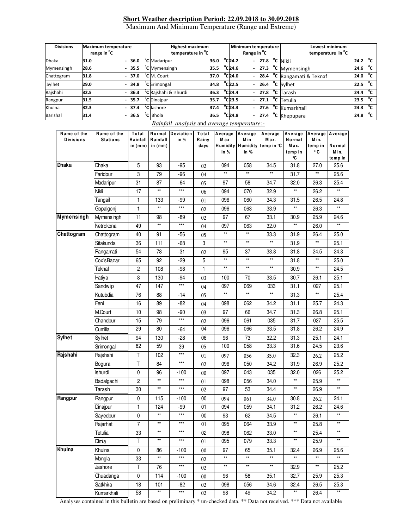### **Short Weather description Period: 22.09.2018 to 30.09.2018** Maximum And Minimum Temperature (Range and Extreme)

| <b>Divisions</b><br>Maximum temperature<br>range in <sup>o</sup> C |      |  | <b>Highest maximum</b><br>temperature in <sup>o</sup> C |  |                                   |      | Minimum temperature<br>Range in <sup>"</sup> C |                              |    |         | Lowest minimum<br>temperature in <sup>o</sup> C |  |                                   |      |              |
|--------------------------------------------------------------------|------|--|---------------------------------------------------------|--|-----------------------------------|------|------------------------------------------------|------------------------------|----|---------|-------------------------------------------------|--|-----------------------------------|------|--------------|
| <b>Dhaka</b>                                                       | 31.0 |  | $-36.0$                                                 |  | <sup>o</sup> C Madaripur          | 36.0 |                                                | $^{\circ}$ C <sub>24.2</sub> |    | $-27.8$ |                                                 |  | °C Nikli                          | 24.2 | °c           |
| Mymensingh                                                         | 28.6 |  | $-35.5$                                                 |  | <sup>o</sup> C Mymensingh         | 35.5 |                                                | $^{\circ}$ C24.6             |    |         |                                                 |  | $-27.3$ °C Mymensingh             | 24.6 | °c           |
| Chattogram                                                         | 31.8 |  | $-37.0$                                                 |  | <sup>o</sup> C M. Court           | 37.0 |                                                | $^{\circ}$ C24.0             |    | $-28.4$ |                                                 |  | $\overline{C}$ Rangamati & Teknaf | 24.0 | °c           |
| Sylhet                                                             | 29.0 |  | $-34.8$                                                 |  | <sup>o</sup> C Srimongal          | 34.8 |                                                | $^{\circ}$ C22.5             |    |         |                                                 |  | $-$ 26.4 $\degree$ C Sylhet       | 22.5 | °c           |
| Rajshahi                                                           | 32.5 |  | $-36.3$                                                 |  | <sup>o</sup> C Rajshahi & Ishurdi | 36.3 |                                                | $^{\circ}$ C <sub>24.4</sub> |    |         |                                                 |  | - 27.8 $^{\circ}$ C Tarash        | 24.4 | $^{\circ}$ C |
| Rangpur                                                            | 31.5 |  | $-35.7$                                                 |  | <sup>o</sup> C Dinajpur           | 35.7 |                                                | $^{\circ}$ C23.5             |    |         |                                                 |  | $-27.1$ <sup>o</sup> C Tetulia    | 23.5 | $^{\circ}$ c |
| Khulna                                                             | 32.3 |  | $-37.4$                                                 |  | <sup>o</sup> C Jashore            | 37.4 |                                                | $^{\circ}$ C24.3             |    |         |                                                 |  | - 27.6 °C Kumarkhali              | 24.3 | $^{\circ}$ c |
| Barishal                                                           | 31.4 |  | $-36.5$                                                 |  | <sup>o</sup> C Bhola              | 36.5 |                                                | $^{\circ}$ C <sub>24.8</sub> | ÷. | 27.4    |                                                 |  | <sup>o</sup> C Khepupara          | 24.8 | °c           |

# *Rainfall analysis* and *average temperature:-*

| Name of the<br><b>Divisions</b> | Name of the<br><b>Stations</b> | Total<br>in (mm) | Rainfall Rainfall<br>in $(mm)$ | Normal Deviation<br>in % | Total<br>Rainy<br>days | Average Average<br>Max<br>in % | M in<br>in %    | Average<br>Max.<br>Humidity Humidity temp in °C | Average<br>Normal<br>M ax.<br>temp in<br>°C | M in.<br>temp in<br>۰c | Average Average<br>Normal<br>M in.<br>temp in |
|---------------------------------|--------------------------------|------------------|--------------------------------|--------------------------|------------------------|--------------------------------|-----------------|-------------------------------------------------|---------------------------------------------|------------------------|-----------------------------------------------|
| Dhaka                           | Dhaka                          | 5                | 93                             | $-95$                    | 02                     | 094                            | 058             | 34.5                                            | 31.8                                        | 27.0                   | 25.6                                          |
|                                 | Faridpur                       | 3                | 79                             | $-96$                    | 04                     | $\star\star$                   | $^{\star\star}$ | $^{\star\star}$                                 | 31.7                                        | $\star\star$           | 25.6                                          |
|                                 | Madaripur                      | 31               | 87                             | -64                      | 05                     | 97                             | 58              | 34.7                                            | 32.0                                        | 26.3                   | 25.4                                          |
|                                 | Nikli                          | 17               | $^{\star\star}$                | $\star\star\star$        | 06                     | 094                            | 070             | 32.9                                            | $^{\star\star}$                             | 26.2                   | $^{\star\star}$                               |
|                                 | Tangail                        | $\mathbf{1}$     | 133                            | -99                      | 01                     | 096                            | 060             | 34.3                                            | 31.5                                        | 26.5                   | 24.8                                          |
|                                 | Gopalgonj                      | $\mathbf{1}$     | $^{\star\star}$                | $\star\star\star$        | 02                     | 096                            | 063             | 33.9                                            | $^{\star\star}$                             | 26.3                   | $^{\star\star}$                               |
| <b>Mymensingh</b>               | Mymensingh                     | 11               | 98                             | -89                      | 02                     | 97                             | 67              | 33.1                                            | 30.9                                        | 25.9                   | 24.6                                          |
|                                 | Netrokona                      | 49               | $\star\star$                   | $***$                    | 04                     | 097                            | 063             | 32.0                                            | $^{\star\star}$                             | 26.0                   | $^{\star\star}$                               |
| Chattogram                      | Chattogram                     | 40               | 91                             | -56                      | 05                     | $^{\star\star}$                | $^{\star\star}$ | 33.3                                            | 31.9                                        | 26.4                   | 25.0                                          |
|                                 | Sitakunda                      | 36               | 111                            | $-68$                    | 3                      | $\star\star$                   | $^{\star\star}$ | $^{\star\star}$                                 | 31.9                                        | $\star\star$           | 25.1                                          |
|                                 | Rangamati                      | 54               | 78                             | $-31$                    | 02                     | 95                             | 37              | 33.8                                            | 31.8                                        | 24.5                   | 24.3                                          |
|                                 | Cox'sBazar                     | 65               | 92                             | $-29$                    | 5                      | $\star\star$                   | $^{\star\star}$ | $^{\star\star}$                                 | 31.8                                        | $^{\star\star}$        | 25.0                                          |
|                                 | Teknaf                         | $\overline{c}$   | 108                            | $-98$                    | 1                      | $^{\star\star}$                | $^{\star\star}$ | $^{\star\star}$                                 | 30.9                                        | $^{\star\star}$        | 24.5                                          |
|                                 | Hatiya                         | 8                | 130                            | $-94$                    | 03                     | 100                            | 70              | 33.5                                            | 30.7                                        | 26.1                   | 25.1                                          |
|                                 | Sandw ip                       | 47               | 147                            | $\star\star\star$        | 04                     | 097                            | 069             | 033                                             | 31.1                                        | 027                    | 25.1                                          |
|                                 | Kutubdia                       | 76               | 88                             | -14                      | 05                     | $^{\star\star}$                | $^{\star\star}$ | $^{\star\star}$                                 | 31.3                                        | $^{\star\star}$        | 25.4                                          |
|                                 | Feni                           | 16               | 89                             | -82                      | 04                     | 098                            | 062             | 34.2                                            | 31.1                                        | 25.7                   | 24.3                                          |
|                                 | M.Court                        | 10               | 98                             | $-90$                    | 03                     | 97                             | 66              | 34.7                                            | 31.3                                        | 26.8                   | 25.1                                          |
|                                 | Chandpur                       | 15               | 79                             | $***$                    | 02                     | 096                            | 061             | 035                                             | 31.7                                        | 027                    | 25.5                                          |
|                                 | Cumilla                        | 29               | 80                             | -64                      | 04                     | 096                            | 066             | 33.5                                            | 31.8                                        | 26.2                   | 24.9                                          |
| <b>Sylhet</b>                   | Sylhet                         | 94               | 130                            | -28                      | 06                     | 96                             | 73              | 32.2                                            | 31.3                                        | 25.1                   | 24.1                                          |
|                                 | Srimongal                      | 82               | 59                             | 39                       | 05                     | 100                            | 058             | 33.3                                            | 31.6                                        | 24.5                   | 23.6                                          |
| Rajshahi                        | Rajshahi                       | Τ                | 102                            | $***$                    | 01                     | 097                            | 056             | 35.0                                            | 32.3                                        | 26.2                   | 25.2                                          |
|                                 | Bogura                         | Τ                | 84                             | $***$                    | 02                     | 096                            | 050             | 34.2                                            | 31.9                                        | 26.9                   | 25.2                                          |
|                                 | Ishurdi                        | 0                | 96                             | $-100$                   | $00\,$                 | 097                            | 043             | 035                                             | 32.0                                        | 026                    | 25.2                                          |
|                                 | Badalgachi                     | $\overline{c}$   | $^{\star\star}$                | $***$                    | 01                     | 098                            | 056             | 34.0                                            | $^{\star\star}$                             | 25.9                   | $^{\star\star}$                               |
|                                 | Tarash                         | 30               | $^{\star\star}$                | $***$                    | 02                     | 97                             | 53              | 34.4                                            | $\star\star$                                | 26.9                   | $^{\star\star}$                               |
| Rangpur                         | Rangpur                        | 0                | 115                            | $-100$                   | $00\,$                 | 094                            | 061             | 34.0                                            | 30.8                                        | 26.2                   | 24.1                                          |
|                                 | Dinajpur                       | 1                | 124                            | -99                      | 01                     | 094                            | 059             | 34.1                                            | 31.2                                        | 26.2                   | 24.6                                          |
|                                 | Sayedpur                       | $\pmb{0}$        | $^{\star\star}$                | $***$                    | 00                     | 93                             | 62              | 34.5                                            | $^{\star\star}$                             | 26.1                   | $^{\star\star}$                               |
|                                 | Rajarhat                       | $\overline{7}$   | $\star\star$                   | $***$                    | 01                     | 095                            | 064             | 33.9                                            | $\star\star$                                | 25.8                   | $\star\star$                                  |
|                                 | Tetulia                        | 33               | $^{\star\star}$                | $***$                    | 02                     | 098                            | 062             | 33.0                                            | $\star\star$                                | 25.4                   | $\star\star$                                  |
|                                 | Dimla                          | T                | $^{\star\star}$                | $***$                    | 01                     | 095                            | 079             | 33.3                                            | $**$                                        | 25.9                   | $**$                                          |
| Khulna                          | Khulna                         | $\pmb{0}$        | 86                             | $-100$                   | $00\,$                 | 97                             | 65              | 35.1                                            | 32.4                                        | 26.9                   | 25.6                                          |
|                                 | Mongla                         | 33               | $^{\star\star}$                | $\star\star\star$        | 02                     | $\star\star$                   | $^{\star\star}$ | $\star\star$                                    | $^{\star\star}$                             | $^{\star\star}$        | $^{\star\star}$                               |
|                                 | Jashore                        | Τ                | 76                             | $***$                    | 02                     | $\star\star$                   | $^{\star\star}$ | $^{\star\star}$                                 | 32.9                                        | $^{\star\star}$        | 25.2                                          |
|                                 | Chuadanga                      | 0                | 114                            | $-100$                   | 00                     | 96                             | 58              | 35.1                                            | 32.7                                        | 25.9                   | 25.3                                          |
|                                 | Satkhira                       | 18               | 101                            | -82                      | 02                     | 098                            | 056             | 34.6                                            | 32.4                                        | 26.5                   | 25.3                                          |
|                                 | Kumarkhali                     | 58               | $\star\star$                   | $***$                    | 02                     | 98                             | 49              | 34.2                                            | $^{\star\star}$                             | 26.4                   | $\star\star$                                  |

Analyses contained in this bulletin are based on preliminary \* un-checked data. \*\* Data not received. \*\*\* Data not available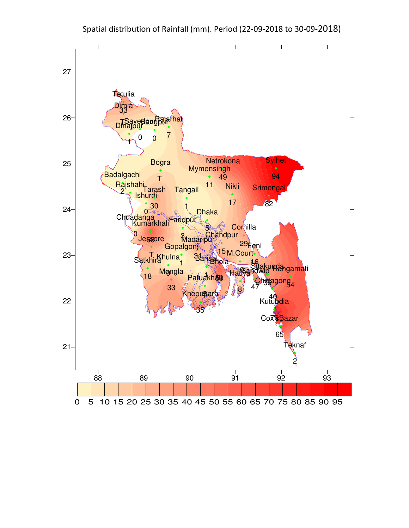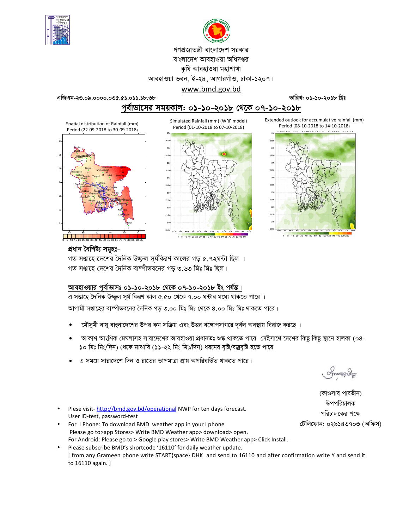



গণপ্রজাতন্ত্রী বাংলাদেশ সরকার

বাংলাদেশ আবহাওয়া অধিদপ্তর

কৃষি আবহাওয়া মহাশাখা

আবহাওয়া ভবন, ই-২৪, আগারগাঁও, ঢাকা-১২০৭। www.bmd.gov.bd

এজিএম-২৩.০৯.০০০০.০৩৫.৫১.০১১.১৮.৩৮

তারিখ: ০১-১০-২০১৮ খ্রিঃ

Extended outlook for accumulative rainfall (mm)

Period (08-10-2018 to 14-10-2018)

পর্বাভাসের সময়কাল: ০১-১০-২০১৮ থেকে ০৭-১০-২০১৮ Simulated Rainfall (mm) (WRF model)

Spatial distribution of Rainfall (mm) Period (22-09-2018 to 30-09-2018)







1 5 10 20 30 40 50 60 80 100 120 140 160 200 2

## প্ৰধান বৈশিষ্ট্য সমূহঃ-

গত সপ্তাহে দেশের দৈনিক উজ্জল সর্যকিরণ কালের গড় ৫.৭২ঘন্টা ছিল । গত সপ্তাহে দেশের দৈনিক বাষ্পীভবনের গড় ৩.৬৩ মিঃ মিঃ ছিল।

## <u> আবহাওয়ার পূর্বাভাসঃ ০১-১০-২০১৮ থেকে ০৭-১০-২০১৮ ইং পর্যন্ত।</u>

এ সপ্তাহে দৈনিক উজ্জুল সূর্য কিরণ কাল ৫.৫০ থেকে ৭.০০ ঘন্টার মধ্যে থাকতে পারে ।

আগামী সপ্তাহের বাঙ্গীভবনের দৈনিক গড় ৩.০০ মিঃ মিঃ থেকে ৪.০০ মিঃ মিঃ থাকতে পারে।

- মৌসুমী বায়ু বাংলাদেশের উপর কম সক্রিয় এবং উত্তর বঙ্গোপসাগরে দূর্বল অবস্থায় বিরাজ করছে ।
- আকাশ আংশিক মেঘলাসহ সারাদেশের আবহাওয়া প্রধানতঃ শুষ্ক থাকতে পারে সেইসাথে দেশের কিছু কিছু স্থানে হালকা (০৪-১০ মিঃ মিঃ/দিন) থেকে মাঝারি (১১-২২ মিঃ মিঃ/দিন) ধরনের বৃষ্টি/বজ্রবৃষ্টি হতে পারে।
- এ সময়ে সারাদেশে দিন ও রাতের তাপমাত্রা প্রায় অপরিবর্তিত থাকতে পারে।

(কাওসার পারভীন) উপপরিচালক পরিচালকের পক্ষে টেলিফোন: ০২৯১৪৩৭০৩ (অফিস)

- Plese visit-http://bmd.gov.bd/operational NWP for ten days forecast. User ID-test, password-test
- For I Phone: To download BMD weather app in your I phone Please go to>app Stores> Write BMD Weather app> download> open. For Android: Please go to > Google play stores> Write BMD Weather app> Click Install.
- Please subscribe BMD's shortcode '16110' for daily weather update. [ from any Grameen phone write START{space} DHK and send to 16110 and after confirmation write Y and send it to 16110 again. ]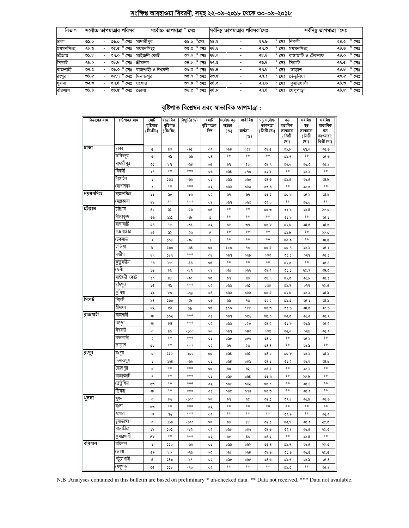# সংক্ষিপ্ত আবহাওয়া বিবরণী, সমূহ ২২-০৯-২০১৮ থেকে ৩০-০৯-২০১৮

| বিভাগ     |      |                          | সর্বোচ্চ তাপমাত্রার পরিসর | সৰ্বোচ্চ তাপমাত্ৰা ° সেঃ     |      |                                          |      | সর্বনিম্ন তাপমাত্রার পরিসর <sup>০</sup> সেঃ |                | সর্বনিম্ন তাপমাত্রা °সেঃ |      |                     |
|-----------|------|--------------------------|---------------------------|------------------------------|------|------------------------------------------|------|---------------------------------------------|----------------|--------------------------|------|---------------------|
| ঢাকা      | ৩১.০ | $\sim$                   | ৩৬.০ ° সেঃ                | মাদারীপর                     | ৩৬.০ | $^\circ$ সেঃ                             | ২৪.২ | ২৭.৮                                        | সেঃ            | নিকলী                    |      | ২৪.২ ° সেঃ          |
| ময়মনসিংহ | ২৮.৬ | $\sim$                   | ৩৫.৫ ° সেঃ                | ময়মনসিংহ                    |      | ত $x \in \mathbb{R}$ গত ১.৯০             |      | ২৭.৩                                        | সেঃ            | ময়মনসিংহ                | ২৪.৬ | $^{\circ}$ সেঃ      |
| চউগ্ৰাম   | ৩১.৮ | $\overline{\phantom{0}}$ | ৩৭.০ ° সেঃ                | মাইজদী কোৰ্ট                 |      | ৩৭.০ $^{\circ}$ সেঃ ২৪.০                 |      | ২৮.৪                                        | $^{\circ}$ সেঃ | রাঙ্গামাটি ও টেকনাফ      |      | ২৪.০ ° সেঃ          |
| সিলেট     | ২৯.০ |                          | $08.5^\circ$ সেঃ          | শ্ৰীমঙ্গল                    |      | <u>০৪.৮<math>^{\circ}</math>সেঃ ২২.৫</u> |      | ২৬.৪                                        | $^{\circ}$ সেঃ | সিলেট                    |      | ২২.৫ ° সেঃ          |
| রাজশাহী   | ৩২.৫ | $\sim$                   |                           | ৩৬.৩ ° সেঃ রাজশাহী ও ঈশ্বরদী |      | ৩৬.৩ $^{\circ}$ সেঃ ২৪.৪                 |      | ২৭.৮                                        | $^{\circ}$ সেঃ | তাডাশ                    |      | ২৪.৪ $^{\circ}$ সেঃ |
| রংপুর     | ৩১.৫ | $\overline{\phantom{0}}$ | ত $6.9^\circ$ সেঃ         | দিনাজপুর                     |      | ত $6.9^\circ$ সেঃ ২৩.৫                   |      | ২৭.১                                        | $^{\circ}$ সেঃ | তেঁতলিয়া                | ২৩.৫ | $^{\circ}$ সেঃ      |
| খুলনা     | ৩২.৩ | $\overline{\phantom{0}}$ | ৩৭.৪ ° সেঃ                | যশোর                         |      | ৩৭.৪ $^{\circ}$ সেঃ ২৪.৩                 |      | ২৭.৬                                        | সেঃ            | কুমারথালী                | ২৪.৩ | $^{\circ}$ সেঃ      |
| বরিশাল    | ৩১.৪ | $\sim$                   | ৩৬.৫ ° সেঃ                | ভোলা                         |      | ত৬.৫ $^{\circ}$ সেঃ ২৪.৮                 |      | ২৭.৪                                        |                | <b>° সেঃ খে</b> পুপাড়া  | ২৪.৮ | $^{\circ}$ সেঃ      |

# <u> বৃষ্টিপাত বিশ্লেষন এবং স্বাভাবিক তাপমাত্ৰা:</u>

| বিভাগের নাম | স্টেশনের নাম | মোট<br>বৃষ্টিপাত<br>( মিঃমিঃ) | ষাভাবিক<br>বৃষ্টিপাত<br>(মিঃমিঃ) | বিছ্যুতি(%) | মোট<br>বৃষ্টিপাতের<br>দিন | সৰ্বোষ্ক গড<br>আৰ্দ্ৰতা<br>( %) | সৰ্বোনিম্ন<br>আৰ্দ্ৰতা<br>( %) | গড সৰ্বোষ্ক<br>তাপমাত্রা<br>( ডিগ্ৰী সেঃ) | গড<br>ষভাবিক<br>তাপমাত্রা<br>(ডিগ্ৰী<br>(সঃ) | সৰ্বনিম্ন<br>গড<br>তাপমাত্রা<br>(ডিগ্ৰী<br>(সঃ) | সৰ্বনিম্ন<br>ষাভাবিক<br>গড়<br>তাপমাত্রা(<br>ডিগ্ৰী সেঃ) |
|-------------|--------------|-------------------------------|----------------------------------|-------------|---------------------------|---------------------------------|--------------------------------|-------------------------------------------|----------------------------------------------|-------------------------------------------------|----------------------------------------------------------|
| ঢাকা        | ঢাকা         | ¢                             | ৯৩                               | -50         | ०२                        | $\circ$ ನಿ $8$                  | oQb                            | 08.0                                      | <b>OS.b</b>                                  | ২৭.০                                            | ২৫.৬                                                     |
|             | ফরিদপুর      | $\circ$                       | ৭৯                               | -৯৬         | 08                        | **                              | $**$                           | $* *$                                     | ৩১.৭                                         | $***$                                           | ২৫.৬                                                     |
|             | মাদারীপুর    | O)                            | ৮৭                               | - 58        | o¢                        | ৯৭                              | ¢Ъ                             | 08.9                                      | ७२.०                                         | ২৬.৩                                            | 20.8                                                     |
|             | নিকলী        | 76                            | $**$                             | $***$       | ০৬                        | $\circ$ ನಿ $8$                  | ०१०                            | ৩২.৯                                      | $* *$                                        | ২৬.২                                            | $***$                                                    |
|             | টাঙ্গাইল     | ډ                             | ১৩৩                              | -৯৯         | ο১                        | ০৯৬                             | ০৬০                            | 08.0                                      | ৩১.৫                                         | ২৬.৫                                            | 28.5                                                     |
|             | গোপালগঞ্জ    | ډ                             | **                               | ***         | ०२                        | ০৯৬                             | 0.50                           | ৩৩.৯                                      | **                                           | ২৬.৩                                            | **                                                       |
| ময়মনসিংহ   | ময়মনসিংহ    | دد                            | ৯৮                               | -৮৯         | ০২                        | ৯৭                              | ৬৭                             | ৩৩.১                                      | ৩০.৯                                         | ২৫.৯                                            | ২8.৬                                                     |
|             | নেত্ৰকোনা    | 85                            | $**$                             | ***         | 08                        | ০৯৭                             | 0.50                           | ৩২.০                                      | $* *$                                        | ২৬.০                                            | $\ast\ast$                                               |
| ঢট্ৰগ্ৰাম   | ঢট্টগ্ৰাম    | 80                            | ৯১                               | -৫৬         | o¢                        | $\ast\ast$                      | $**$                           | 00.0                                      | ৩১.৯                                         | 26.8                                            | ২৫.০                                                     |
|             | সীতাকুন্ড    | ৩৬                            | ددد                              | -46         | ৩                         | $\ast\ast$                      | $* *$                          | $\pm\pm$                                  | ৩১.৯                                         | $***$                                           | ২৫.১                                                     |
|             | রাঙ্গামাটি   | $^{68}$                       | ٩b                               | -05         | ০২                        | ৯৫                              | ৩৭                             | ৩৩.৮                                      | <b>OS.b</b>                                  | 28.0                                            | 28.0                                                     |
|             | কক্সবাজার    | ৬৫                            | ৯২                               | -২৯         | ¢                         | $\ast\ast$                      | $**$                           | **                                        | <b>OS.b</b>                                  | **                                              | ২৫.০                                                     |
|             | টেকনাফ       | ২                             | ১০৮                              | -94         | S                         | **                              | **                             | $\pm\pm$                                  | 6.00                                         | **                                              | 28.0                                                     |
|             | হাতিয়া      | ৮                             | ১৩০                              | -৯৪         | ০৩                        | ১০০                             | 90                             | ৩৩.৫                                      | 00.9                                         | ২৬.১                                            | ২৫.১                                                     |
|             | সন্দ্বীপ     | 89                            | 589                              | ***         | 08                        | ০৯৭                             | ০৬৯                            | ೦೦೦                                       | ৩১.১                                         | ०२१                                             | ২৫.১                                                     |
|             | কুতুবদীয়া   | ৭৬                            | ৮৮                               | -১৪         | o¢                        | **                              | **                             | $* *$                                     | ৩১.৩                                         | **                                              | 20.8                                                     |
|             | ফেনী         | ১৬                            | ৮৯                               | -৮২         | 08                        | ০৯৮                             | ০৬২                            | 08.3                                      | ৩১.১                                         | ২৫.৭                                            | ২8.৩                                                     |
|             | মাইজদী কোর্ট | ১০                            | ৯৮                               | -৯০         | ০৩                        | ৯৭                              | w                              | 08.9                                      | 05.0                                         | ২৬.৮                                            | ২৫.১                                                     |
|             | চাঁদপুর      | 2G                            | ৭৯                               | $***$       | ০২                        | ০৯৬                             | ০৬১                            | ০৩৫                                       | ৩১.৭                                         | ०२१                                             | ২৫.৫                                                     |
|             | কুমিল্লা     | ২৯                            | bο                               | -৬8         | 08                        | ০৯৬                             | ০৬৬                            | 00.0                                      | <b>OS.b</b>                                  | ২৬.২                                            | 28.5                                                     |
| সিলেট       | সিলেট        | $\delta$ 8                    | ১৩০                              | -54         | ০৬                        | ৯৬                              | ٩७                             | ७२.२                                      | 0.00                                         | ২৫.১                                            | 28.5                                                     |
|             | শ্ৰীমঙ্গল    | ৮২                            | ৫৯                               | ৩৯          | o¢                        | ১০০                             | oQb                            | 0.00                                      | 05.6                                         | 28.0                                            | ২৩.৬                                                     |
| রাজশাহী     | রাজশাহী      | ঞ                             | ১০২                              | ***         | ०১                        | ০৯৭                             | ০৫৬                            | 0.90                                      | ৩২.৩                                         | ২৬.২                                            | ২৫.২                                                     |
|             | বগুডা        | ঞ                             | b8                               | ***         | ০২                        | ০৯৬                             | oQo                            | 08.3                                      | ৩১.৯                                         | ২৬.৯                                            | ২৫.২                                                     |
|             | ঈশ্বরদী      | о                             | ৯৬                               | -১০০        | oo                        | ০৯৭                             | 080                            | ০৩৫                                       | ७२.०                                         | ০২৬                                             | ২৫.২                                                     |
|             | বদলগাৰ্ঘী    | ২                             | **                               | ***         | ०১                        | ০৯৮                             | ০৫৬                            | 08.0                                      | **                                           | ২৫.৯                                            | $**$                                                     |
|             | তাডাশ        | ৩০                            | **                               | ***         | ০২                        | ৯৭                              | ৫৩                             | 08.8                                      | **                                           | ২৬.৯                                            | $\ast\ast$                                               |
| রংপুব       | রংপুর        | о                             | ১১৫                              | -১০০        | oo                        | $\circ$ ನಿ $8$                  | ০৬১                            | 08.0                                      | ৩০.৮                                         | ২৬.২                                            | ২8.১                                                     |
|             | দিনাজপুর     | S                             | 558                              | -৯৯         | ο১                        | ০৯৪                             | ০৫৯                            | 08.5                                      | ৩১.২                                         | ২৬.২                                            | ২8.৬                                                     |
|             | সৈয়দপুর     | о                             | $**$                             | $***$       | oo                        | ৯৩                              | ৬২                             | 08.0                                      | $* *$                                        | ২৬.১                                            | $***$                                                    |
|             | রাজারহাট     | ٩                             | **                               | ***         | ०১                        | ০৯৫                             | ०७8                            | ৩৩.৯                                      | **                                           | ২৫.৮                                            | **                                                       |
|             | তেতুঁলিয়া   | ৩৩                            | **                               | ***         | ০২                        | ০৯৮                             | ০৬২                            | 00.0                                      | **                                           | 20.8                                            | $**$                                                     |
|             | ডিমলা        | ঞ                             | $**$                             | $***$       | ०১                        | ০৯৫                             | ০৭৯                            | 0.00                                      | **                                           | ২৫.৯                                            | $**$                                                     |
| शूनना       | থুলনা        | о                             | ৮৬                               | -১০০        | $^{\circ}$                | ৯৭                              | W                              | ৩৫.১                                      | 02.8                                         | ২৬.৯                                            | ২৫.৬                                                     |
|             | মংলা         | ৩৩                            | **                               | $***$       | ০২                        | **                              | $**$                           | $\pm\pm$                                  | **                                           | $***$                                           | **                                                       |
|             | যশোর         | மு                            | ৭৬                               | ***         | ०२                        | $\ast\ast$                      | **                             | $\ast\ast$                                | ৩২.৯                                         | **                                              | २৫.२                                                     |
|             | চুয়াডাঙ্গা  | $\circ$                       | 558                              | -১০০        | ٥о                        | ৯৬                              | ¢Ъ                             | ৩৫.১                                      | ৩২.৭                                         | ২৫.৯                                            | ২৫.৩                                                     |
|             | সাতক্ষীরা    | ১৮                            | ১০১                              | -155        | ০২                        | ০৯৮                             | ০৫৬                            | ৩ $8.9$                                   | ৩২. $8$                                      | ২৬.৫                                            | ২৫.৩                                                     |
|             | কুমারথালী    | ¢Ъ                            | $**$                             | $***$       | ০২                        | ৯৮                              | 8৯                             | ৩৪.২                                      | $\ast\ast$                                   | ২৬.৪                                            | $***$                                                    |
| বরিশাল      | বারশাল       | ډ                             | ১১০                              | -৯৯         | ०১                        | ০৯৯                             | ০৬২                            | 00.8                                      | ৩১.৭                                         | ২৬.৫                                            | ২৫.৩                                                     |
|             | ভোলা         | ৫৯                            | bο                               | -২৬         | ೲ                         | ০৯৮                             | ০৬৪                            | ৩ $8.9$                                   | ৩১.৬                                         | ২৬.৫                                            | ১.৩۶                                                     |
|             | পটুয়াথালী   | ¢                             | 580                              | -৯৭         | ০২                        | ০৯৮                             | ০৬৫                            | ৩৪.৬                                      | ৩১.৭                                         | ২৬.৯                                            | २৫.8                                                     |
|             | খেপুপাড়া    | ৩৫                            | ১১৮                              | -90         | ০২                        | **                              | **                             | $\ast\ast$                                | 0.20                                         | **                                              | 20.8                                                     |

N.B .Analyses contained in this bulletin are based on preliminary \* un-checked data. \*\* Data not received. \*\*\* Data not available.